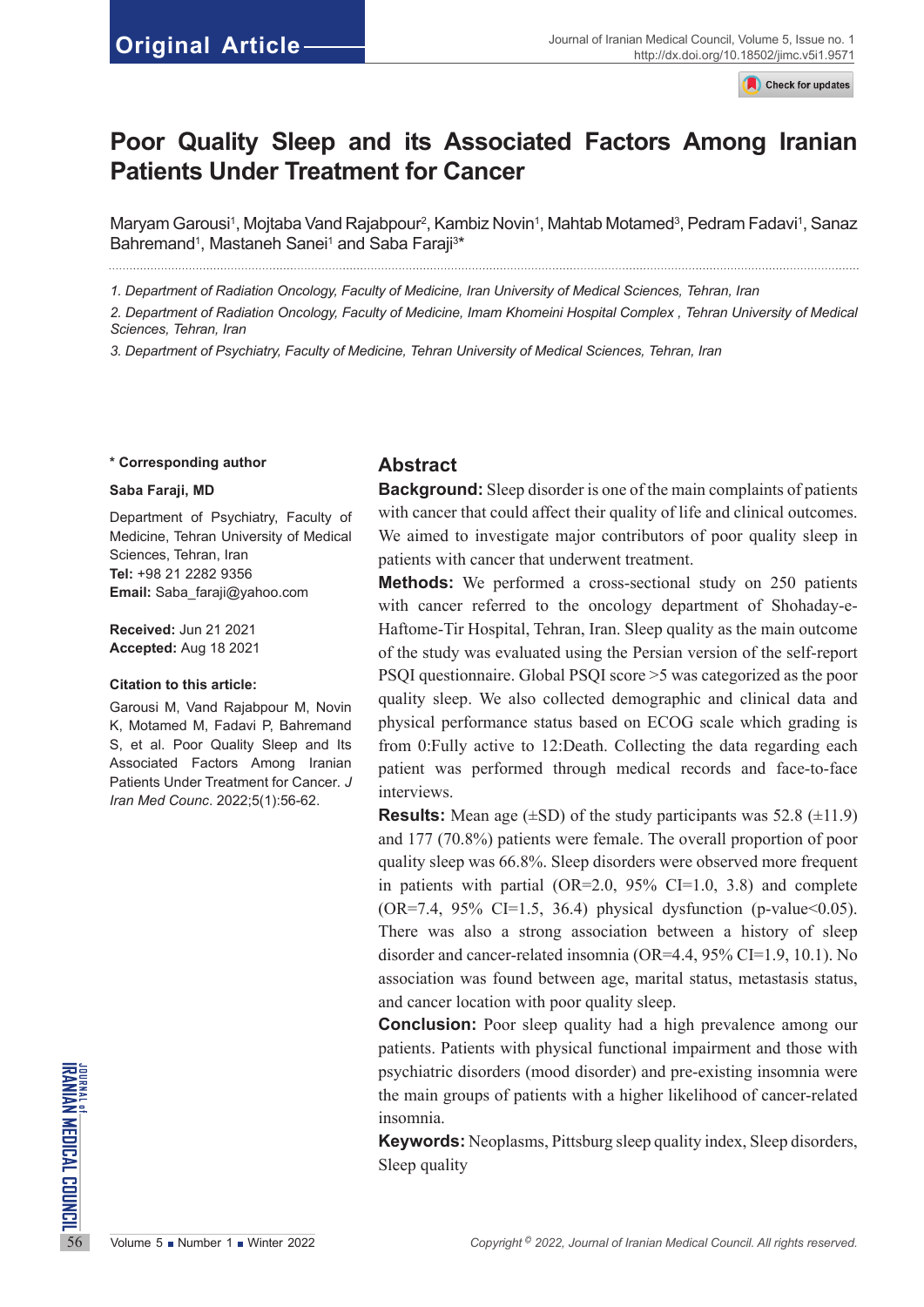**Check for undates** 

# **Poor Quality Sleep and its Associated Factors Among Iranian Patients Under Treatment for Cancer**

Maryam Garousi<sup>1</sup>, Mojtaba Vand Rajabpour<sup>2</sup>, Kambiz Novin<sup>1</sup>, Mahtab Motamed<sup>3</sup>, Pedram Fadavi<sup>1</sup>, Sanaz Bahremand<sup>1</sup>, Mastaneh Sanei<sup>1</sup> and Saba Faraji<sup>3\*</sup>

*1. Department of Radiation Oncology, Faculty of Medicine, Iran University of Medical Sciences, Tehran, Iran*

*2. Department of Radiation Oncology, Faculty of Medicine, Imam Khomeini Hospital Complex , Tehran University of Medical Sciences, Tehran, Iran*

*3. Department of Psychiatry, Faculty of Medicine, Tehran University of Medical Sciences, Tehran, Iran*

#### **\* Corresponding author**

#### **Saba Faraji, MD**

Department of Psychiatry, Faculty of Medicine, Tehran University of Medical Sciences, Tehran, Iran **Tel:** +98 21 2282 9356 **Email:** Saba\_faraji@yahoo.com

**Received:** Jun 21 2021 **Accepted:** Aug 18 2021

#### **Citation to this article:**

Garousi M, Vand Rajabpour M, Novin K, Motamed M, Fadavi P, Bahremand S, et al. Poor Quality Sleep and Its Associated Factors Among Iranian Patients Under Treatment for Cancer*. J Iran Med Counc*. 2022;5(1):56-62.

#### **Abstract**

**Background:** Sleep disorder is one of the main complaints of patients with cancer that could affect their quality of life and clinical outcomes. We aimed to investigate major contributors of poor quality sleep in patients with cancer that underwent treatment.

**Methods:** We performed a cross-sectional study on 250 patients with cancer referred to the oncology department of Shohaday-e-Haftome-Tir Hospital, Tehran, Iran. Sleep quality as the main outcome of the study was evaluated using the Persian version of the self-report PSQI questionnaire. Global PSQI score >5 was categorized as the poor quality sleep. We also collected demographic and clinical data and physical performance status based on ECOG scale which grading is from 0:Fully active to 12:Death. Collecting the data regarding each patient was performed through medical records and face-to-face interviews.

**Results:** Mean age  $(\pm SD)$  of the study participants was 52.8  $(\pm 11.9)$ and 177 (70.8%) patients were female. The overall proportion of poor quality sleep was 66.8%. Sleep disorders were observed more frequent in patients with partial (OR=2.0, 95% CI=1.0, 3.8) and complete  $(OR=7.4, 95\% \text{ CI}=1.5, 36.4)$  physical dysfunction (p-value  $0.05$ ). There was also a strong association between a history of sleep disorder and cancer-related insomnia (OR=4.4, 95% CI=1.9, 10.1). No association was found between age, marital status, metastasis status, and cancer location with poor quality sleep.

**FOREX PROPERTY AND PROPERTY OF SURFACE CONSUMING THE PROPERTY OF SURFACE CONSULTED THE PROPERTY OF SURFACE CONSULTED THE PROPERTY OF IRACT CONSULTED THE PROPERTY OF IRANGERY SURFACE CONSULTED THE PROPERTY OF IRANGERY SUR Conclusion:** Poor sleep quality had a high prevalence among our patients. Patients with physical functional impairment and those with psychiatric disorders (mood disorder) and pre-existing insomnia were the main groups of patients with a higher likelihood of cancer-related insomnia.

**Keywords:** Neoplasms, Pittsburg sleep quality index, Sleep disorders, Sleep quality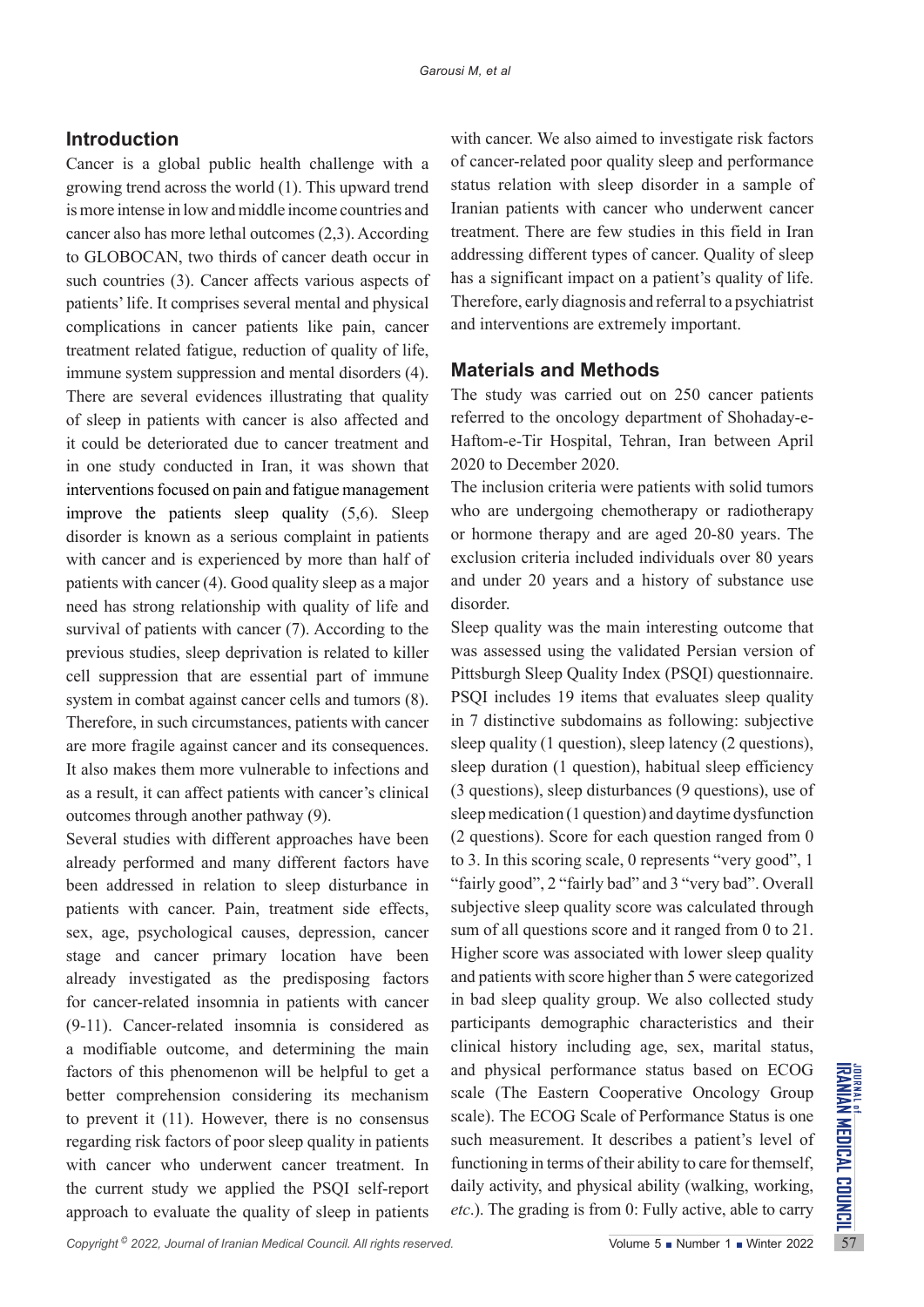## **Introduction**

Cancer is a global public health challenge with a growing trend across the world (1). This upward trend is more intense in low and middle income countries and cancer also has more lethal outcomes (2,3). According to GLOBOCAN, two thirds of cancer death occur in such countries (3). Cancer affects various aspects of patients' life. It comprises several mental and physical complications in cancer patients like pain, cancer treatment related fatigue, reduction of quality of life, immune system suppression and mental disorders (4). There are several evidences illustrating that quality of sleep in patients with cancer is also affected and it could be deteriorated due to cancer treatment and in one study conducted in Iran, it was shown that interventions focused on pain and fatigue management improve the patients sleep quality (5,6). Sleep disorder is known as a serious complaint in patients with cancer and is experienced by more than half of patients with cancer (4). Good quality sleep as a major need has strong relationship with quality of life and survival of patients with cancer (7). According to the previous studies, sleep deprivation is related to killer cell suppression that are essential part of immune system in combat against cancer cells and tumors (8). Therefore, in such circumstances, patients with cancer are more fragile against cancer and its consequences. It also makes them more vulnerable to infections and as a result, it can affect patients with cancer's clinical outcomes through another pathway (9).

factors of this phenomenon will be helpful to get a and physical performance status based on ECOG<br>better comprehension considering its mechanism scale (The Eastern Cooperative Oncology Group<br>to prevent it (11). However, t Several studies with different approaches have been already performed and many different factors have been addressed in relation to sleep disturbance in patients with cancer. Pain, treatment side effects, sex, age, psychological causes, depression, cancer stage and cancer primary location have been already investigated as the predisposing factors for cancer-related insomnia in patients with cancer (9-11). Cancer-related insomnia is considered as a modifiable outcome, and determining the main factors of this phenomenon will be helpful to get a better comprehension considering its mechanism to prevent it (11). However, there is no consensus regarding risk factors of poor sleep quality in patients with cancer who underwent cancer treatment. In the current study we applied the PSQI self-report approach to evaluate the quality of sleep in patients

with cancer. We also aimed to investigate risk factors of cancer-related poor quality sleep and performance status relation with sleep disorder in a sample of Iranian patients with cancer who underwent cancer treatment. There are few studies in this field in Iran addressing different types of cancer. Quality of sleep has a significant impact on a patient's quality of life. Therefore, early diagnosis and referral to a psychiatrist and interventions are extremely important.

#### **Materials and Methods**

The study was carried out on 250 cancer patients referred to the oncology department of Shohaday-e-Haftom-e-Tir Hospital, Tehran, Iran between April 2020 to December 2020.

The inclusion criteria were patients with solid tumors who are undergoing chemotherapy or radiotherapy or hormone therapy and are aged 20-80 years. The exclusion criteria included individuals over 80 years and under 20 years and a history of substance use disorder.

Sleep quality was the main interesting outcome that was assessed using the validated Persian version of Pittsburgh Sleep Quality Index (PSQI) questionnaire. PSQI includes 19 items that evaluates sleep quality in 7 distinctive subdomains as following: subjective sleep quality (1 question), sleep latency (2 questions), sleep duration (1 question), habitual sleep efficiency (3 questions), sleep disturbances (9 questions), use of sleep medication (1 question) and daytime dysfunction (2 questions). Score for each question ranged from 0 to 3. In this scoring scale, 0 represents "very good", 1 "fairly good", 2 "fairly bad" and 3 "very bad". Overall subjective sleep quality score was calculated through sum of all questions score and it ranged from 0 to 21. Higher score was associated with lower sleep quality and patients with score higher than 5 were categorized in bad sleep quality group. We also collected study participants demographic characteristics and their clinical history including age, sex, marital status, and physical performance status based on ECOG scale (The Eastern Cooperative Oncology Group scale). The ECOG Scale of Performance Status is one such measurement. It describes a patient's level of functioning in terms of their ability to care for themself, daily activity, and physical ability (walking, working, *etc*.). The grading is from 0: Fully active, able to carry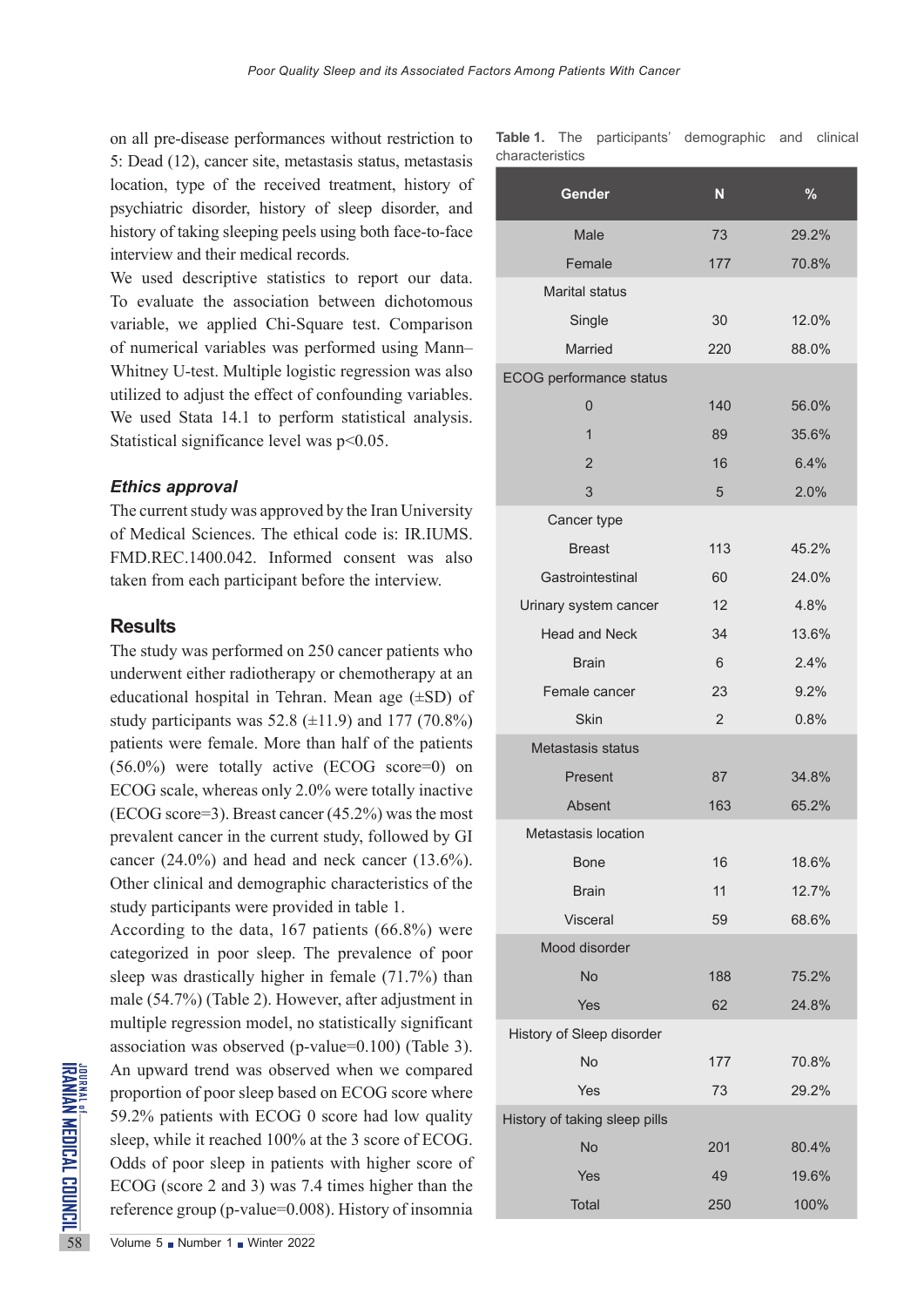on all pre-disease performances without restriction to 5: Dead (12), cancer site, metastasis status, metastasis location, type of the received treatment, history of psychiatric disorder, history of sleep disorder, and history of taking sleeping peels using both face-to-face interview and their medical records.

We used descriptive statistics to report our data. To evaluate the association between dichotomous variable, we applied Chi-Square test. Comparison of numerical variables was performed using Mann– Whitney U-test. Multiple logistic regression was also utilized to adjust the effect of confounding variables. We used Stata 14.1 to perform statistical analysis. Statistical significance level was p<0.05.

#### *Ethics approval*

The current study was approved by the Iran University of Medical Sciences. The ethical code is: IR.IUMS. FMD.REC.1400.042. Informed consent was also taken from each participant before the interview.

### **Results**

The study was performed on 250 cancer patients who underwent either radiotherapy or chemotherapy at an educational hospital in Tehran. Mean age (±SD) of study participants was  $52.8 \ (\pm 11.9)$  and  $177 \ (70.8\%)$ patients were female. More than half of the patients  $(56.0\%)$  were totally active (ECOG score=0) on ECOG scale, whereas only 2.0% were totally inactive (ECOG score=3). Breast cancer (45.2%) was the most prevalent cancer in the current study, followed by GI cancer (24.0%) and head and neck cancer (13.6%). Other clinical and demographic characteristics of the study participants were provided in table 1.

An upward trend was observed<br>proportion of poor sleep based<br>59.2% patients with ECOG 0<br>sleep, while it reached 100% a<br>Odds of poor sleep in patient<br>ECOG (score 2 and 3) was 7.<br>reference group (p-value=0.00<br>Volume 5 Number According to the data, 167 patients (66.8%) were categorized in poor sleep. The prevalence of poor sleep was drastically higher in female (71.7%) than male (54.7%) (Table 2). However, after adjustment in multiple regression model, no statistically significant association was observed (p-value=0.100) (Table 3). An upward trend was observed when we compared proportion of poor sleep based on ECOG score where 59.2% patients with ECOG 0 score had low quality sleep, while it reached 100% at the 3 score of ECOG. Odds of poor sleep in patients with higher score of ECOG (score 2 and 3) was 7.4 times higher than the reference group (p-value=0.008). History of insomnia

**Table 1.** The participants' demographic and clinical characteristics

| Gender                         | N              | $\frac{9}{6}$ |
|--------------------------------|----------------|---------------|
| Male                           | 73             | 29.2%         |
| Female                         | 177            | 70.8%         |
| <b>Marital status</b>          |                |               |
| Single                         | 30             | 12.0%         |
| Married                        | 220            | 88.0%         |
| <b>ECOG</b> performance status |                |               |
| 0                              | 140            | 56.0%         |
| $\mathbf{1}$                   | 89             | 35.6%         |
| $\overline{2}$                 | 16             | 6.4%          |
| 3                              | 5              | 2.0%          |
| Cancer type                    |                |               |
| <b>Breast</b>                  | 113            | 45.2%         |
| Gastrointestinal               | 60             | 24.0%         |
| Urinary system cancer          | 12             | 4.8%          |
| <b>Head and Neck</b>           | 34             | 13.6%         |
| <b>Brain</b>                   | 6              | 2.4%          |
| Female cancer                  | 23             | 9.2%          |
| <b>Skin</b>                    | $\overline{2}$ | 0.8%          |
| Metastasis status              |                |               |
| Present                        | 87             | 34.8%         |
| Absent                         | 163            | 65.2%         |
| <b>Metastasis location</b>     |                |               |
| Bone                           | 16             | 18.6%         |
| <b>Brain</b>                   | 11             | 12.7%         |
| Visceral                       | 59             | 68.6%         |
| Mood disorder                  |                |               |
| No                             | 188            | 75.2%         |
| Yes                            | 62             | 24.8%         |
| History of Sleep disorder      |                |               |
| No                             | 177            | 70.8%         |
| Yes                            | 73             | 29.2%         |
| History of taking sleep pills  |                |               |
| <b>No</b>                      | 201            | 80.4%         |
| Yes                            | 49             | 19.6%         |
| Total                          | 250            | 100%          |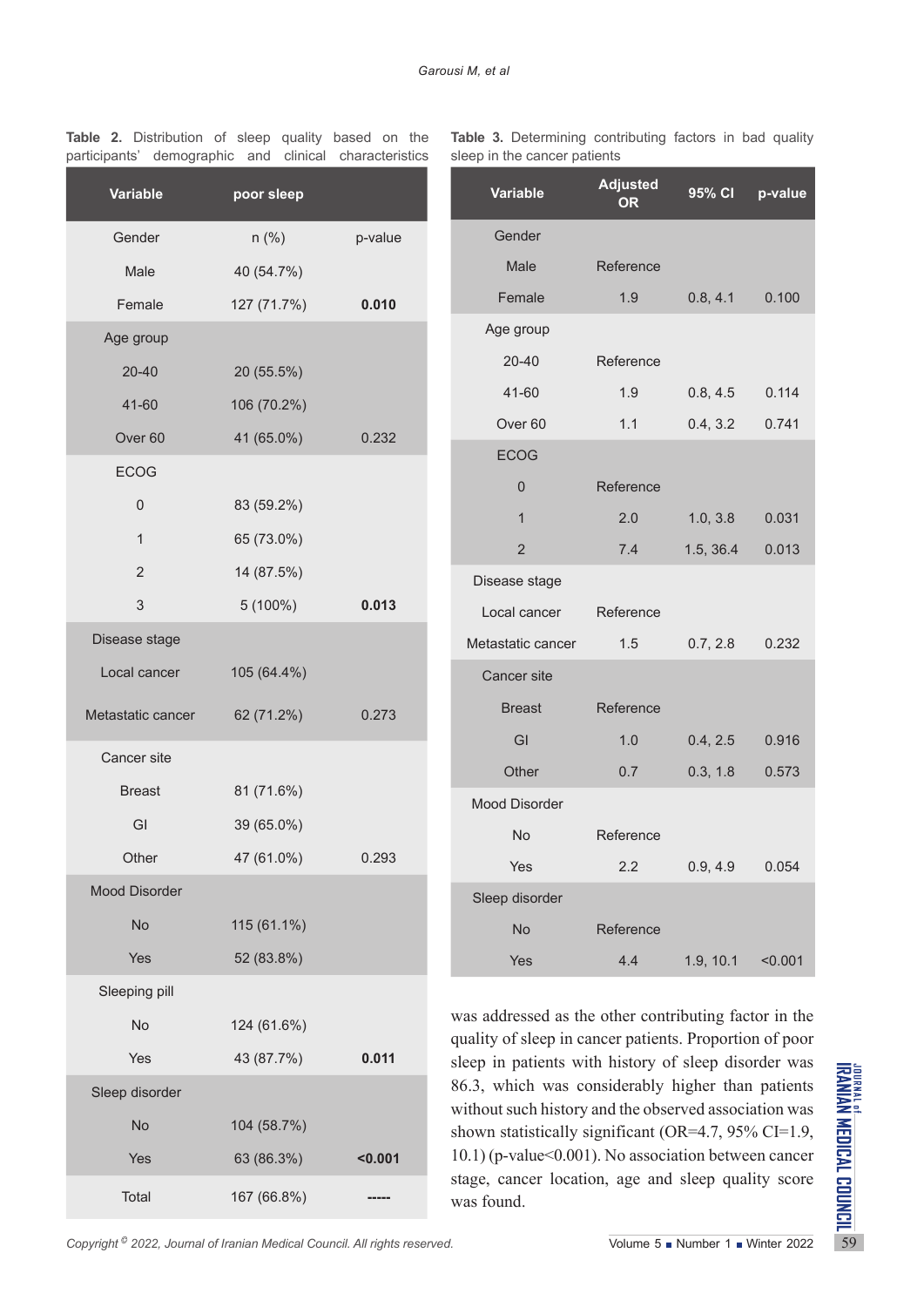| <b>Variable</b>      | poor sleep  |         |
|----------------------|-------------|---------|
| Gender               | $n$ (%)     | p-value |
| Male                 | 40 (54.7%)  |         |
| Female               | 127 (71.7%) | 0.010   |
| Age group            |             |         |
| 20-40                | 20 (55.5%)  |         |
| 41-60                | 106 (70.2%) |         |
| Over 60              | 41 (65.0%)  | 0.232   |
| <b>ECOG</b>          |             |         |
| 0                    | 83 (59.2%)  |         |
| $\mathbf{1}$         | 65 (73.0%)  |         |
| $\overline{c}$       | 14 (87.5%)  |         |
| 3                    | $5(100\%)$  | 0.013   |
| Disease stage        |             |         |
| Local cancer         | 105 (64.4%) |         |
| Metastatic cancer    | 62 (71.2%)  | 0.273   |
| Cancer site          |             |         |
| <b>Breast</b>        | 81 (71.6%)  |         |
| GI                   | 39 (65.0%)  |         |
| Other                | 47 (61.0%)  | 0.293   |
| <b>Mood Disorder</b> |             |         |
| No                   | 115 (61.1%) |         |
| Yes                  | 52 (83.8%)  |         |
| Sleeping pill        |             |         |
| No                   | 124 (61.6%) |         |
| Yes                  | 43 (87.7%)  | 0.011   |
| Sleep disorder       |             |         |
| <b>No</b>            | 104 (58.7%) |         |
| Yes                  | 63 (86.3%)  | < 0.001 |
| Total                | 167 (66.8%) |         |

**Table 2.** Distribution of sleep quality based on the participants' demographic and clinical characteristics

|  | Table 3. Determining contributing factors in bad quality |  |  |  |
|--|----------------------------------------------------------|--|--|--|
|  | sleep in the cancer patients                             |  |  |  |

| <b>Variable</b>      | <b>Adjusted</b><br>OR | 95% CI    | p-value |
|----------------------|-----------------------|-----------|---------|
| Gender               |                       |           |         |
| Male                 | Reference             |           |         |
| Female               | 1.9                   | 0.8, 4.1  | 0.100   |
| Age group            |                       |           |         |
| 20-40                | Reference             |           |         |
| 41-60                | 1.9                   | 0.8, 4.5  | 0.114   |
| Over <sub>60</sub>   | 1.1                   | 0.4, 3.2  | 0.741   |
| <b>ECOG</b>          |                       |           |         |
| $\overline{0}$       | Reference             |           |         |
| $\mathbf{1}$         | 2.0                   | 1.0, 3.8  | 0.031   |
| $\overline{2}$       | 7.4                   | 1.5, 36.4 | 0.013   |
| Disease stage        |                       |           |         |
| Local cancer         | Reference             |           |         |
| Metastatic cancer    | 1.5                   | 0.7, 2.8  | 0.232   |
| <b>Cancer</b> site   |                       |           |         |
| <b>Breast</b>        | Reference             |           |         |
| GI                   | 1.0                   | 0.4, 2.5  | 0.916   |
| Other                | 0.7                   | 0.3, 1.8  | 0.573   |
| <b>Mood Disorder</b> |                       |           |         |
| <b>No</b>            | Reference             |           |         |
| Yes                  | 2.2                   | 0.9, 4.9  | 0.054   |
| Sleep disorder       |                       |           |         |
| No                   | Reference             |           |         |
| Yes                  | 4.4                   | 1.9, 10.1 | < 0.001 |

Sleep disorder<br>
Sleep disorder<br>
No 104 (58.7%)<br>
Yes 63 (86.3%)<br>
Total 167 (66.8%)<br>
Copyright<sup>9</sup> 2022, Journal of Iranian Medical Council. All rights reserved.<br>
Copyright<sup>9</sup> 2022, Journal of Iranian Medical Council. All rig was addressed as the other contributing factor in the quality of sleep in cancer patients. Proportion of poor sleep in patients with history of sleep disorder was 86.3, which was considerably higher than patients without such history and the observed association was shown statistically significant (OR=4.7, 95% CI=1.9, 10.1) (p-value<0.001). No association between cancer stage, cancer location, age and sleep quality score was found.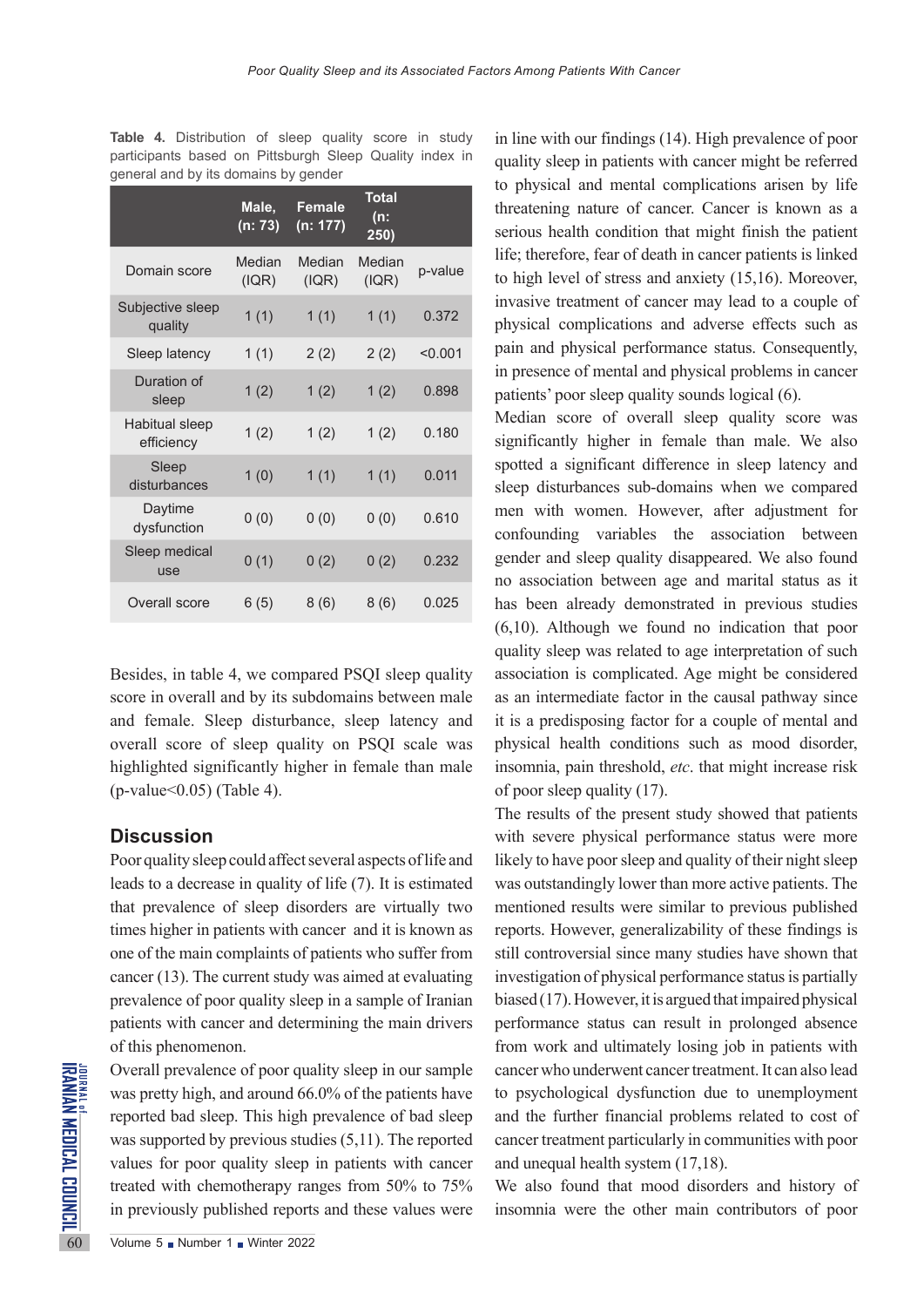|                              | Male,<br>(n: 73) | <b>Female</b><br>(n: 177) | <b>Total</b><br>(n:<br>250) |         |
|------------------------------|------------------|---------------------------|-----------------------------|---------|
| Domain score                 | Median<br>(IQR)  | Median<br>(IQR)           | Median<br>(IQR)             | p-value |
| Subjective sleep<br>quality  | 1(1)             | 1(1)                      | 1(1)                        | 0.372   |
| Sleep latency                | 1(1)             | 2(2)                      | 2(2)                        | < 0.001 |
| Duration of<br>sleep         | 1(2)             | 1(2)                      | 1(2)                        | 0.898   |
| Habitual sleep<br>efficiency | 1(2)             | 1(2)                      | 1(2)                        | 0.180   |
| Sleep<br>disturbances        | 1(0)             | 1(1)                      | 1(1)                        | 0.011   |
| Daytime<br>dysfunction       | 0(0)             | 0(0)                      | 0(0)                        | 0.610   |
| Sleep medical<br>use         | 0(1)             | 0(2)                      | 0(2)                        | 0.232   |
| Overall score                | 6 (5)            | 8(6)                      | 8(6)                        | 0.025   |

Table 4. Distribution of sleep quality score in study participants based on Pittsburgh Sleep Quality index in general and by its domains by gender

Besides, in table 4, we compared PSQI sleep quality score in overall and by its subdomains between male and female. Sleep disturbance, sleep latency and overall score of sleep quality on PSQI scale was highlighted significantly higher in female than male  $(p$ -value  $0.05)$  (Table 4).

#### **Discussion**

Poor quality sleep could affect several aspects of life and leads to a decrease in quality of life (7). It is estimated that prevalence of sleep disorders are virtually two times higher in patients with cancer and it is known as one of the main complaints of patients who suffer from cancer (13). The current study was aimed at evaluating prevalence of poor quality sleep in a sample of Iranian patients with cancer and determining the main drivers of this phenomenon.

Overall prevalence of poor qual<br>
sales was pretty high, and around 66<br>
reported bad sleep. This high was supported by previous studes<br>
values for poor quality sleep<br>
treated with chemotherapy ran<br>
in previously published r Overall prevalence of poor quality sleep in our sample was pretty high, and around 66.0% of the patients have reported bad sleep. This high prevalence of bad sleep was supported by previous studies (5,11). The reported values for poor quality sleep in patients with cancer treated with chemotherapy ranges from 50% to 75% in previously published reports and these values were

in line with our findings (14). High prevalence of poor quality sleep in patients with cancer might be referred to physical and mental complications arisen by life threatening nature of cancer. Cancer is known as a serious health condition that might finish the patient life; therefore, fear of death in cancer patients is linked to high level of stress and anxiety (15,16). Moreover, invasive treatment of cancer may lead to a couple of physical complications and adverse effects such as pain and physical performance status. Consequently, in presence of mental and physical problems in cancer patients' poor sleep quality sounds logical (6).

Median score of overall sleep quality score was significantly higher in female than male. We also spotted a significant difference in sleep latency and sleep disturbances sub-domains when we compared men with women. However, after adjustment for confounding variables the association between gender and sleep quality disappeared. We also found no association between age and marital status as it has been already demonstrated in previous studies (6,10). Although we found no indication that poor quality sleep was related to age interpretation of such association is complicated. Age might be considered as an intermediate factor in the causal pathway since it is a predisposing factor for a couple of mental and physical health conditions such as mood disorder, insomnia, pain threshold, *etc*. that might increase risk of poor sleep quality (17).

The results of the present study showed that patients with severe physical performance status were more likely to have poor sleep and quality of their night sleep was outstandingly lower than more active patients. The mentioned results were similar to previous published reports. However, generalizability of these findings is still controversial since many studies have shown that investigation of physical performance status is partially biased (17). However, it is argued that impaired physical performance status can result in prolonged absence from work and ultimately losing job in patients with cancer who underwent cancer treatment. It can also lead to psychological dysfunction due to unemployment and the further financial problems related to cost of cancer treatment particularly in communities with poor and unequal health system (17,18).

We also found that mood disorders and history of insomnia were the other main contributors of poor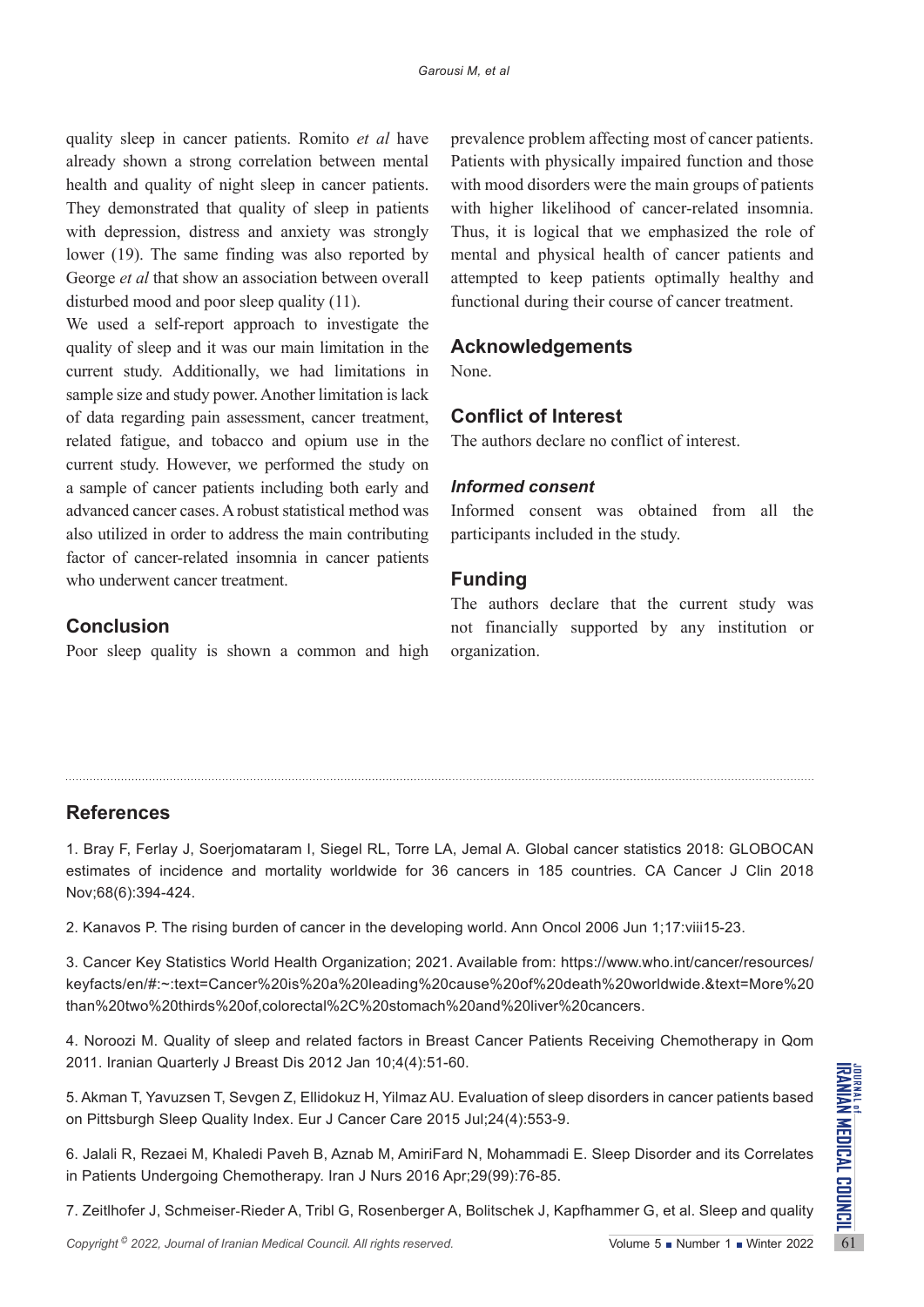quality sleep in cancer patients. Romito *et al* have already shown a strong correlation between mental health and quality of night sleep in cancer patients. They demonstrated that quality of sleep in patients with depression, distress and anxiety was strongly lower (19). The same finding was also reported by George *et al* that show an association between overall disturbed mood and poor sleep quality (11).

We used a self-report approach to investigate the quality of sleep and it was our main limitation in the current study. Additionally, we had limitations in sample size and study power. Another limitation is lack of data regarding pain assessment, cancer treatment, related fatigue, and tobacco and opium use in the current study. However, we performed the study on a sample of cancer patients including both early and advanced cancer cases. A robust statistical method was also utilized in order to address the main contributing factor of cancer-related insomnia in cancer patients who underwent cancer treatment.

prevalence problem affecting most of cancer patients. Patients with physically impaired function and those with mood disorders were the main groups of patients with higher likelihood of cancer-related insomnia. Thus, it is logical that we emphasized the role of mental and physical health of cancer patients and attempted to keep patients optimally healthy and functional during their course of cancer treatment.

# **Acknowledgements**

None.

# **Conflict of Interest**

The authors declare no conflict of interest.

## *Informed consent*

Informed consent was obtained from all the participants included in the study.

## **Funding**

**Conclusion**

Poor sleep quality is shown a common and high

The authors declare that the current study was not financially supported by any institution or organization.

# **References**

1. Bray F, Ferlay J, Soerjomataram I, Siegel RL, Torre LA, Jemal A. Global cancer statistics 2018: GLOBOCAN estimates of incidence and mortality worldwide for 36 cancers in 185 countries. CA Cancer J Clin 2018 Nov;68(6):394-424.

2. Kanavos P. The rising burden of cancer in the developing world. Ann Oncol 2006 Jun 1;17:viii15-23.

3. Cancer Key Statistics World Health Organization; 2021. Available from: https://www.who.int/cancer/resources/ keyfacts/en/#:~:text=Cancer%20is%20a%20leading%20cause%20of%20death%20worldwide.&text=More%20 than%20two%20thirds%20of,colorectal%2C%20stomach%20and%20liver%20cancers.

4. Noroozi M. Quality of sleep and related factors in Breast Cancer Patients Receiving Chemotherapy in Qom 2011. Iranian Quarterly J Breast Dis 2012 Jan 10;4(4):51-60.

5. Akman T, Yavuzsen T, Sevgen Z, Ellidokuz H, Yilmaz AU. Evaluation of sleep disorders in cancer patients based on Pittsburgh Sleep Quality Index. Eur J Cancer Care 2015 Jul;24(4):553-9.

*Copyright* <sup>©</sup> 2022, *Journal of Iranian Medical Council. All rights reserved.<br>
<i>Copyright* <sup>©</sup> 2022, *Journal of Iranian Medical Council. All rights reserved.<br>
<i>Copyright* <sup>©</sup> 2022, *Journal of Iranian Medical Council.* 6. Jalali R, Rezaei M, Khaledi Paveh B, Aznab M, AmiriFard N, Mohammadi E. Sleep Disorder and its Correlates in Patients Undergoing Chemotherapy. Iran J Nurs 2016 Apr;29(99):76-85.

7. Zeitlhofer J, Schmeiser‐Rieder A, Tribl G, Rosenberger A, Bolitschek J, Kapfhammer G, et al. Sleep and quality